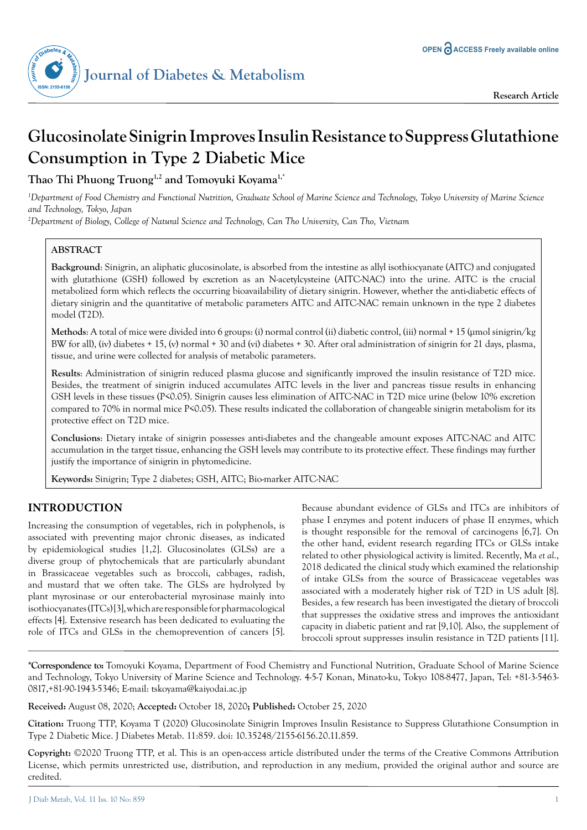

# **Glucosinolate Sinigrin Improves Insulin Resistance to Suppress Glutathione Consumption in Type 2 Diabetic Mice**

**Thao Thi Phuong Truong1,2 and Tomoyuki Koyama1,\***

*1 Department of Food Chemistry and Functional Nutrition, Graduate School of Marine Science and Technology, Tokyo University of Marine Science and Technology, Tokyo, Japan*

*2 Department of Biology, College of Natural Science and Technology, Can Tho University, Can Tho, Vietnam*

# **ABSTRACT**

**Background**: Sinigrin, an aliphatic glucosinolate, is absorbed from the intestine as allyl isothiocyanate (AITC) and conjugated with glutathione (GSH) followed by excretion as an N-acetylcysteine (AITC-NAC) into the urine. AITC is the crucial metabolized form which reflects the occurring bioavailability of dietary sinigrin. However, whether the anti-diabetic effects of dietary sinigrin and the quantitative of metabolic parameters AITC and AITC-NAC remain unknown in the type 2 diabetes model (T2D).

**Methods**: A total of mice were divided into 6 groups: (i) normal control (ii) diabetic control, (iii) normal + 15 (µmol sinigrin/kg BW for all), (iv) diabetes + 15, (v) normal + 30 and (vi) diabetes + 30. After oral administration of sinigrin for 21 days, plasma, tissue, and urine were collected for analysis of metabolic parameters.

**Results**: Administration of sinigrin reduced plasma glucose and significantly improved the insulin resistance of T2D mice. Besides, the treatment of sinigrin induced accumulates AITC levels in the liver and pancreas tissue results in enhancing GSH levels in these tissues (P<0.05). Sinigrin causes less elimination of AITC-NAC in T2D mice urine (below 10% excretion compared to 70% in normal mice P<0.05). These results indicated the collaboration of changeable sinigrin metabolism for its protective effect on T2D mice.

**Conclusions**: Dietary intake of sinigrin possesses anti-diabetes and the changeable amount exposes AITC-NAC and AITC accumulation in the target tissue, enhancing the GSH levels may contribute to its protective effect. These findings may further justify the importance of sinigrin in phytomedicine.

**Keywords:** Sinigrin; Type 2 diabetes; GSH, AITC; Bio-marker AITC-NAC

# **INTRODUCTION**

Increasing the consumption of vegetables, rich in polyphenols, is associated with preventing major chronic diseases, as indicated by epidemiological studies [1,2]. Glucosinolates (GLSs) are a diverse group of phytochemicals that are particularly abundant in Brassicaceae vegetables such as broccoli, cabbages, radish, and mustard that we often take. The GLSs are hydrolyzed by plant myrosinase or our enterobacterial myrosinase mainly into isothiocyanates (ITCs) [3], which are responsible for pharmacological effects [4]. Extensive research has been dedicated to evaluating the role of ITCs and GLSs in the chemoprevention of cancers [5].

Because abundant evidence of GLSs and ITCs are inhibitors of phase I enzymes and potent inducers of phase II enzymes, which is thought responsible for the removal of carcinogens [6,7]. On the other hand, evident research regarding ITCs or GLSs intake related to other physiological activity is limited. Recently, Ma *et al*., 2018 dedicated the clinical study which examined the relationship of intake GLSs from the source of Brassicaceae vegetables was associated with a moderately higher risk of T2D in US adult [8]. Besides, a few research has been investigated the dietary of broccoli that suppresses the oxidative stress and improves the antioxidant capacity in diabetic patient and rat [9,10]. Also, the supplement of broccoli sprout suppresses insulin resistance in T2D patients [11].

**\*Correspondence to:** Tomoyuki Koyama, Department of Food Chemistry and Functional Nutrition, Graduate School of Marine Science and Technology, Tokyo University of Marine Science and Technology. 4-5-7 Konan, Minato-ku, Tokyo 108-8477, Japan, Tel: +81-3-5463- 0817,+81-90-1943-5346; E-mail: tskoyama@kaiyodai.ac.jp

**Received:** August 08, 2020; **Accepted:** October 18, 2020**; Published:** October 25, 2020

**Citation:** Truong TTP, Koyama T (2020) Glucosinolate Sinigrin Improves Insulin Resistance to Suppress Glutathione Consumption in Type 2 Diabetic Mice. J Diabetes Metab. 11:859. doi: 10.35248/2155-6156.20.11.859.

**Copyright:** ©2020 Truong TTP, et al. This is an open-access article distributed under the terms of the Creative Commons Attribution License, which permits unrestricted use, distribution, and reproduction in any medium, provided the original author and source are credited.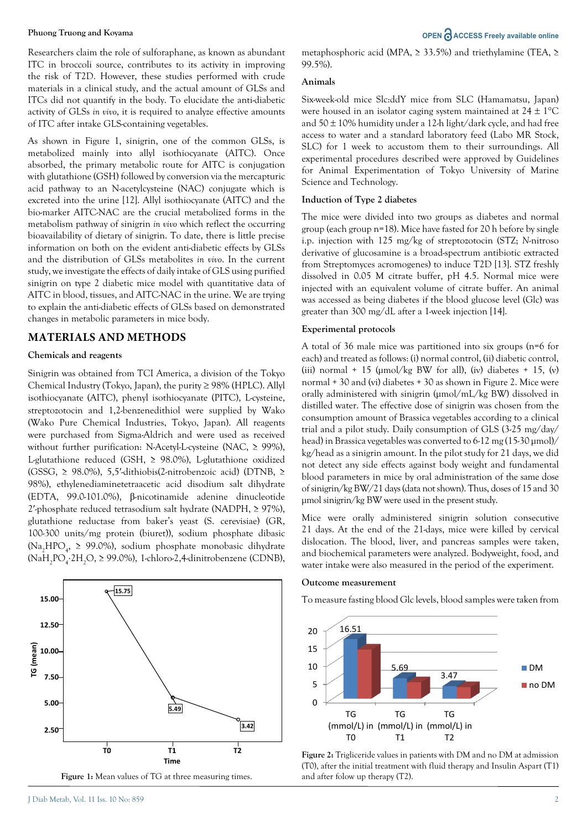Researchers claim the role of sulforaphane, as known as abundant ITC in broccoli source, contributes to its activity in improving the risk of T2D. However, these studies performed with crude materials in a clinical study, and the actual amount of GLSs and ITCs did not quantify in the body. To elucidate the anti-diabetic activity of GLSs *in vivo*, it is required to analyze effective amounts of ITC after intake GLS-containing vegetables.

As shown in Figure 1, sinigrin, one of the common GLSs, is metabolized mainly into allyl isothiocyanate (AITC). Once absorbed, the primary metabolic route for AITC is conjugation with glutathione (GSH) followed by conversion via the mercapturic acid pathway to an N-acetylcysteine (NAC) conjugate which is excreted into the urine [12]. Allyl isothiocyanate (AITC) and the bio-marker AITC-NAC are the crucial metabolized forms in the metabolism pathway of sinigrin *in vivo* which reflect the occurring bioavailability of dietary of sinigrin. To date, there is little precise information on both on the evident anti-diabetic effects by GLSs and the distribution of GLSs metabolites *in vivo*. In the current study, we investigate the effects of daily intake of GLS using purified sinigrin on type 2 diabetic mice model with quantitative data of AITC in blood, tissues, and AITC-NAC in the urine. We are trying to explain the anti-diabetic effects of GLSs based on demonstrated changes in metabolic parameters in mice body.

### **MATERIALS AND METHODS**

#### **Chemicals and reagents**

Sinigrin was obtained from TCI America, a division of the Tokyo Chemical Industry (Tokyo, Japan), the purity ≥ 98% (HPLC). Allyl isothiocyanate (AITC), phenyl isothiocyanate (PITC), L-cysteine, streptozotocin and 1,2-benzenedithiol were supplied by Wako (Wako Pure Chemical Industries, Tokyo, Japan). All reagents were purchased from Sigma-Aldrich and were used as received without further purification: N-Acetyl-L-cysteine (NAC, ≥ 99%), L-glutathione reduced (GSH,  $\geq$  98.0%), L-glutathione oxidized (GSSG, ≥ 98.0%), 5,5′-dithiobis(2-nitrobenzoic acid) (DTNB, ≥ 98%), ethylenediaminetetraacetic acid disodium salt dihydrate (EDTA, 99.0-101.0%), β-nicotinamide adenine dinucleotide 2'-phosphate reduced tetrasodium salt hydrate (NADPH,  $\geq$  97%), glutathione reductase from baker's yeast (S. cerevisiae) (GR, 100-300 units/mg protein (biuret)), sodium phosphate dibasic (Na<sub>2</sub>HPO<sub>4</sub>, ≥ 99.0%), sodium phosphate monobasic dihydrate (NaH<sub>2</sub>PO<sub>4</sub>⋅2H<sub>2</sub>O, ≥ 99.0%), 1-chloro-2,4-dinitrobenzene (CDNB),



**Figure 1:** Mean values of TG at three measuring times.

metaphosphoric acid (MPA, ≥ 33.5%) and triethylamine (TEA, ≥ 99.5%).

#### **Animals**

Six-week-old mice Slc:ddY mice from SLC (Hamamatsu, Japan) were housed in an isolator caging system maintained at  $24 \pm 1$ °C and  $50 \pm 10\%$  humidity under a 12-h light/dark cycle, and had free access to water and a standard laboratory feed (Labo MR Stock, SLC) for 1 week to accustom them to their surroundings. All experimental procedures described were approved by Guidelines for Animal Experimentation of Tokyo University of Marine Science and Technology.

#### **Induction of Type 2 diabetes**

The mice were divided into two groups as diabetes and normal group (each group n=18). Mice have fasted for 20 h before by single i.p. injection with 125 mg/kg of streptozotocin (STZ; *N*-nitroso derivative of glucosamine is a broad-spectrum antibiotic extracted from Streptomyces acromogenes) to induce T2D [13]. STZ freshly dissolved in 0.05 M citrate buffer, pH 4.5. Normal mice were injected with an equivalent volume of citrate buffer. An animal was accessed as being diabetes if the blood glucose level (Glc) was greater than 300 mg/dL after a 1-week injection [14].

#### **Experimental protocols**

A total of 36 male mice was partitioned into six groups (n=6 for each) and treated as follows: (i) normal control, (ii) diabetic control, (iii) normal + 15 ( $\mu$ mol/kg BW for all), (iv) diabetes + 15, (v) normal + 30 and (vi) diabetes + 30 as shown in Figure 2. Mice were orally administered with sinigrin (µmol/mL/kg BW) dissolved in distilled water. The effective dose of sinigrin was chosen from the consumption amount of Brassica vegetables according to a clinical trial and a pilot study. Daily consumption of GLS (3-25 mg/day/ head) in Brassica vegetables was converted to 6-12 mg (15-30 µmol)/ kg/head as a sinigrin amount. In the pilot study for 21 days, we did not detect any side effects against body weight and fundamental blood parameters in mice by oral administration of the same dose of sinigrin/kg BW/21 days (data not shown). Thus, doses of 15 and 30 µmol sinigrin/kg BW were used in the present study.

Mice were orally administered sinigrin solution consecutive 21 days. At the end of the 21-days, mice were killed by cervical dislocation. The blood, liver, and pancreas samples were taken, and biochemical parameters were analyzed. Bodyweight, food, and water intake were also measured in the period of the experiment.

#### **Outcome measurement**

To measure fasting blood Glc levels, blood samples were taken from



**Figure 2:** Trigliceride values in patients with DM and no DM at admission (T0), after the initial treatment with fluid therapy and Insulin Aspart (T1) and after folow up therapy (T2).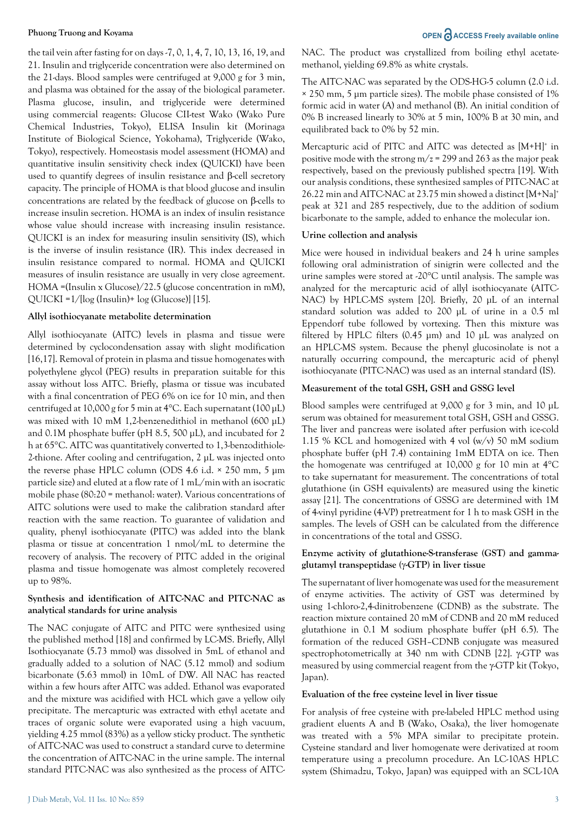the tail vein after fasting for on days -7, 0, 1, 4, 7, 10, 13, 16, 19, and 21. Insulin and triglyceride concentration were also determined on the 21-days. Blood samples were centrifuged at 9,000 g for 3 min, and plasma was obtained for the assay of the biological parameter. Plasma glucose, insulin, and triglyceride were determined using commercial reagents: Glucose CII-test Wako (Wako Pure Chemical Industries, Tokyo), ELISA Insulin kit (Morinaga Institute of Biological Science, Yokohama), Triglyceride (Wako, Tokyo), respectively. Homeostasis model assessment (HOMA) and quantitative insulin sensitivity check index (QUICKI) have been used to quantify degrees of insulin resistance and β-cell secretory capacity. The principle of HOMA is that blood glucose and insulin concentrations are related by the feedback of glucose on β-cells to increase insulin secretion. HOMA is an index of insulin resistance whose value should increase with increasing insulin resistance. QUICKI is an index for measuring insulin sensitivity (IS), which is the inverse of insulin resistance (IR). This index decreased in insulin resistance compared to normal. HOMA and QUICKI measures of insulin resistance are usually in very close agreement. HOMA =(Insulin x Glucose)/22.5 (glucose concentration in mM), QUICKI =1/[log (Insulin)+ log (Glucose)] [15].

#### **Allyl isothiocyanate metabolite determination**

Allyl isothiocyanate (AITC) levels in plasma and tissue were determined by cyclocondensation assay with slight modification [16,17]. Removal of protein in plasma and tissue homogenates with polyethylene glycol (PEG) results in preparation suitable for this assay without loss AITC. Briefly, plasma or tissue was incubated with a final concentration of PEG 6% on ice for 10 min, and then centrifuged at 10,000 g for 5 min at 4°C. Each supernatant (100 µL) was mixed with 10 mM 1,2-benzenedithiol in methanol (600 µL) and 0.1M phosphate buffer (pH 8.5, 500 µL), and incubated for 2 h at 65°C. AITC was quantitatively converted to 1,3-benzodithiole-2-thione. After cooling and centrifugation, 2 µL was injected onto the reverse phase HPLC column (ODS 4.6 i.d. × 250 mm, 5 µm particle size) and eluted at a flow rate of 1 mL/min with an isocratic mobile phase (80:20 = methanol: water). Various concentrations of AITC solutions were used to make the calibration standard after reaction with the same reaction. To guarantee of validation and quality, phenyl isothiocyanate (PITC) was added into the blank plasma or tissue at concentration 1 nmol/mL to determine the recovery of analysis. The recovery of PITC added in the original plasma and tissue homogenate was almost completely recovered up to 98%.

### **Synthesis and identification of AITC-NAC and PITC-NAC as analytical standards for urine analysis**

The NAC conjugate of AITC and PITC were synthesized using the published method [18] and confirmed by LC-MS. Briefly, Allyl Isothiocyanate (5.73 mmol) was dissolved in 5mL of ethanol and gradually added to a solution of NAC (5.12 mmol) and sodium bicarbonate (5.63 mmol) in 10mL of DW. All NAC has reacted within a few hours after AITC was added. Ethanol was evaporated and the mixture was acidified with HCL which gave a yellow oily precipitate. The mercapturic was extracted with ethyl acetate and traces of organic solute were evaporated using a high vacuum, yielding 4.25 mmol (83%) as a yellow sticky product. The synthetic of AITC-NAC was used to construct a standard curve to determine the concentration of AITC-NAC in the urine sample. The internal standard PITC-NAC was also synthesized as the process of AITC- NAC. The product was crystallized from boiling ethyl acetatemethanol, yielding 69.8% as white crystals.

The AITC-NAC was separated by the ODS-HG-5 column (2.0 i.d. × 250 mm, 5 µm particle sizes). The mobile phase consisted of 1% formic acid in water (A) and methanol (B). An initial condition of 0% B increased linearly to 30% at 5 min, 100% B at 30 min, and equilibrated back to 0% by 52 min.

Mercapturic acid of PITC and AITC was detected as [M+H]<sup>+</sup> in positive mode with the strong  $m/z = 299$  and 263 as the major peak respectively, based on the previously published spectra [19]. With our analysis conditions, these synthesized samples of PITC-NAC at 26.22 min and AITC-NAC at 23.75 min showed a distinct [M+Na]+ peak at 321 and 285 respectively, due to the addition of sodium bicarbonate to the sample, added to enhance the molecular ion.

#### **Urine collection and analysis**

Mice were housed in individual beakers and 24 h urine samples following oral administration of sinigrin were collected and the urine samples were stored at -20°C until analysis. The sample was analyzed for the mercapturic acid of allyl isothiocyanate (AITC-NAC) by HPLC-MS system [20]. Briefly, 20 µL of an internal standard solution was added to 200 µL of urine in a 0.5 ml Eppendorf tube followed by vortexing. Then this mixture was filtered by HPLC filters (0.45 µm) and 10 µL was analyzed on an HPLC-MS system. Because the phenyl glucosinolate is not a naturally occurring compound, the mercapturic acid of phenyl isothiocyanate (PITC-NAC) was used as an internal standard (IS).

### **Measurement of the total GSH, GSH and GSSG level**

Blood samples were centrifuged at 9,000 g for 3 min, and 10 µL serum was obtained for measurement total GSH, GSH and GSSG. The liver and pancreas were isolated after perfusion with ice-cold 1.15 % KCL and homogenized with 4 vol (w/v) 50 mM sodium phosphate buffer (pH 7.4) containing 1mM EDTA on ice. Then the homogenate was centrifuged at 10,000 g for 10 min at 4°C to take supernatant for measurement. The concentrations of total glutathione (in GSH equivalents) are measured using the kinetic assay [21]. The concentrations of GSSG are determined with 1M of 4-vinyl pyridine (4-VP) pretreatment for 1 h to mask GSH in the samples. The levels of GSH can be calculated from the difference in concentrations of the total and GSSG.

#### **Enzyme activity of glutathione-S-transferase (GST) and gammaglutamyl transpeptidase (**γ**-GTP) in liver tissue**

The supernatant of liver homogenate was used for the measurement of enzyme activities. The activity of GST was determined by using 1-chloro-2,4-dinitrobenzene (CDNB) as the substrate. The reaction mixture contained 20 mM of CDNB and 20 mM reduced glutathione in 0.1 M sodium phosphate buffer (pH 6.5). The formation of the reduced GSH–CDNB conjugate was measured spectrophotometrically at 340 nm with CDNB [22]. γ-GTP was measured by using commercial reagent from the γ-GTP kit (Tokyo, Japan).

#### **Evaluation of the free cysteine level in liver tissue**

For analysis of free cysteine with pre-labeled HPLC method using gradient eluents A and B (Wako, Osaka), the liver homogenate was treated with a 5% MPA similar to precipitate protein. Cysteine standard and liver homogenate were derivatized at room temperature using a precolumn procedure. An LC-10AS HPLC system (Shimadzu, Tokyo, Japan) was equipped with an SCL-10A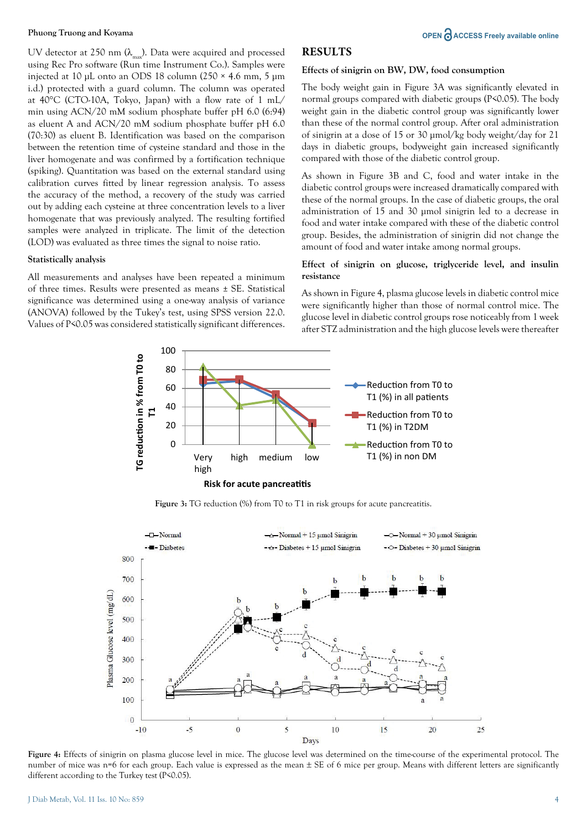UV detector at 250 nm  $(\lambda_{\text{max}})$ . Data were acquired and processed using Rec Pro software (Run time Instrument Co.). Samples were injected at 10 µL onto an ODS 18 column (250 × 4.6 mm, 5 µm i.d.) protected with a guard column. The column was operated at 40°C (CTO-10A, Tokyo, Japan) with a flow rate of 1 mL/ min using ACN/20 mM sodium phosphate buffer pH 6.0 (6:94) as eluent A and ACN/20 mM sodium phosphate buffer pH 6.0 (70:30) as eluent B. Identification was based on the comparison between the retention time of cysteine standard and those in the liver homogenate and was confirmed by a fortification technique (spiking). Quantitation was based on the external standard using calibration curves fitted by linear regression analysis. To assess the accuracy of the method, a recovery of the study was carried out by adding each cysteine at three concentration levels to a liver homogenate that was previously analyzed. The resulting fortified samples were analyzed in triplicate. The limit of the detection (LOD) was evaluated as three times the signal to noise ratio.

#### **Statistically analysis**

All measurements and analyses have been repeated a minimum of three times. Results were presented as means ± SE. Statistical significance was determined using a one-way analysis of variance (ANOVA) followed by the Tukey's test, using SPSS version 22.0. Values of P<0.05 was considered statistically significant differences.

### **RESULTS**

#### **Effects of sinigrin on BW, DW, food consumption**

The body weight gain in Figure 3A was significantly elevated in normal groups compared with diabetic groups (P<0.05). The body weight gain in the diabetic control group was significantly lower than these of the normal control group. After oral administration of sinigrin at a dose of 15 or 30 µmol/kg body weight/day for 21 days in diabetic groups, bodyweight gain increased significantly compared with those of the diabetic control group.

As shown in Figure 3B and C, food and water intake in the diabetic control groups were increased dramatically compared with these of the normal groups. In the case of diabetic groups, the oral administration of 15 and 30 µmol sinigrin led to a decrease in food and water intake compared with these of the diabetic control group. Besides, the administration of sinigrin did not change the amount of food and water intake among normal groups.

#### **Effect of sinigrin on glucose, triglyceride level, and insulin resistance**

As shown in Figure 4, plasma glucose levels in diabetic control mice were significantly higher than those of normal control mice. The glucose level in diabetic control groups rose noticeably from 1 week after STZ administration and the high glucose levels were thereafter



**Figure 3:** TG reduction (%) from T0 to T1 in risk groups for acute pancreatitis.



**Figure 4:** Effects of sinigrin on plasma glucose level in mice. The glucose level was determined on the time-course of the experimental protocol. The number of mice was n=6 for each group. Each value is expressed as the mean  $\pm$  SE of 6 mice per group. Means with different letters are significantly different according to the Turkey test (P<0.05).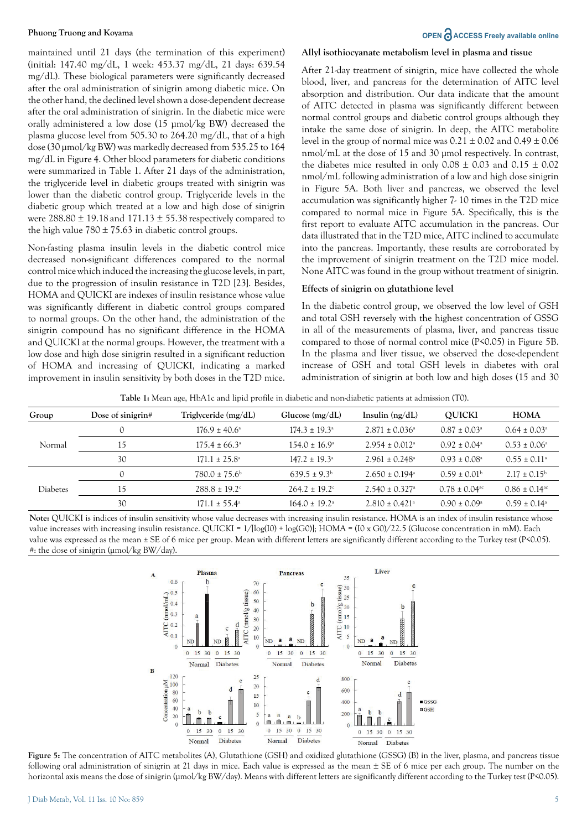maintained until 21 days (the termination of this experiment) (initial: 147.40 mg/dL, 1 week: 453.37 mg/dL, 21 days: 639.54 mg/dL). These biological parameters were significantly decreased after the oral administration of sinigrin among diabetic mice. On the other hand, the declined level shown a dose-dependent decrease after the oral administration of sinigrin. In the diabetic mice were orally administered a low dose (15 µmol/kg BW) decreased the plasma glucose level from 505.30 to 264.20 mg/dL, that of a high dose (30 µmol/kg BW) was markedly decreased from 535.25 to 164 mg/dL in Figure 4. Other blood parameters for diabetic conditions were summarized in Table 1. After 21 days of the administration, the triglyceride level in diabetic groups treated with sinigrin was lower than the diabetic control group. Triglyceride levels in the diabetic group which treated at a low and high dose of sinigrin were  $288.80 \pm 19.18$  and  $171.13 \pm 55.38$  respectively compared to the high value  $780 \pm 75.63$  in diabetic control groups.

Non-fasting plasma insulin levels in the diabetic control mice decreased non-significant differences compared to the normal control mice which induced the increasing the glucose levels, in part, due to the progression of insulin resistance in T2D [23]. Besides, HOMA and QUICKI are indexes of insulin resistance whose value was significantly different in diabetic control groups compared to normal groups. On the other hand, the administration of the sinigrin compound has no significant difference in the HOMA and QUICKI at the normal groups. However, the treatment with a low dose and high dose sinigrin resulted in a significant reduction of HOMA and increasing of QUICKI, indicating a marked improvement in insulin sensitivity by both doses in the T2D mice.

#### **Allyl isothiocyanate metabolism level in plasma and tissue**

After 21-day treatment of sinigrin, mice have collected the whole blood, liver, and pancreas for the determination of AITC level absorption and distribution. Our data indicate that the amount of AITC detected in plasma was significantly different between normal control groups and diabetic control groups although they intake the same dose of sinigrin. In deep, the AITC metabolite level in the group of normal mice was  $0.21 \pm 0.02$  and  $0.49 \pm 0.06$ nmol/mL at the dose of 15 and 30 µmol respectively. In contrast, the diabetes mice resulted in only  $0.08 \pm 0.03$  and  $0.15 \pm 0.02$ nmol/mL following administration of a low and high dose sinigrin in Figure 5A. Both liver and pancreas, we observed the level accumulation was significantly higher 7- 10 times in the T2D mice compared to normal mice in Figure 5A. Specifically, this is the first report to evaluate AITC accumulation in the pancreas. Our data illustrated that in the T2D mice, AITC inclined to accumulate into the pancreas. Importantly, these results are corroborated by the improvement of sinigrin treatment on the T2D mice model. None AITC was found in the group without treatment of sinigrin.

#### **Effects of sinigrin on glutathione level**

In the diabetic control group, we observed the low level of GSH and total GSH reversely with the highest concentration of GSSG in all of the measurements of plasma, liver, and pancreas tissue compared to those of normal control mice (P<0.05) in Figure 5B. In the plasma and liver tissue, we observed the dose-dependent increase of GSH and total GSH levels in diabetes with oral administration of sinigrin at both low and high doses (15 and 30

**Table 1:** Mean age, HbA1c and lipid profile in diabetic and non-diabetic patients at admission (T0).

| Group           | Dose of sinigrin# | $Triglveeride$ (mg/dL)   | Glucose $(mg/dL)$             | Insulin $(ng/dL)$              | <b>OUICKI</b>                 | <b>HOMA</b>                   |
|-----------------|-------------------|--------------------------|-------------------------------|--------------------------------|-------------------------------|-------------------------------|
| Normal          | $\Omega$          | $176.9 \pm 40.6^{\circ}$ | $174.3 \pm 19.3^{\circ}$      | $2.871 \pm 0.036^{\circ}$      | $0.87 \pm 0.03^{\circ}$       | $0.64 \pm 0.03$ <sup>a</sup>  |
|                 | 15                | $175.4 \pm 66.3^{\circ}$ | $154.0 \pm 16.9^{\circ}$      | $2.954 \pm 0.012$ <sup>a</sup> | $0.92 \pm 0.04$ <sup>a</sup>  | $0.53 \pm 0.06^{\circ}$       |
|                 | 30                | $171.1 \pm 25.8^{\circ}$ | $147.2 \pm 19.3$ <sup>a</sup> | $2.961 \pm 0.248$ <sup>a</sup> | $0.93 \pm 0.08$ <sup>a</sup>  | $0.55 \pm 0.11$ <sup>a</sup>  |
| <b>Diabetes</b> | $\Omega$          | $780.0 \pm 75.6^{\rm b}$ | $639.5 \pm 9.3^{\rm b}$       | $2.650 \pm 0.194$ <sup>a</sup> | $0.59 \pm 0.01^{\rm b}$       | $2.17 \pm 0.15^{\rm b}$       |
|                 | 15                | $288.8 \pm 19.2$ °       | $264.2 \pm 19.2$ <sup>c</sup> | $2.540 \pm 0.327$ <sup>a</sup> | $0.78 \pm 0.04$ <sup>ac</sup> | $0.86 \pm 0.14$ <sup>ac</sup> |
|                 | 30                | $171.1 \pm 55.4^{\circ}$ | $164.0 \pm 19.2$ <sup>a</sup> | $2.810 \pm 0.421$ <sup>a</sup> | $0.90 \pm 0.09^{\circ}$       | $0.59 \pm 0.14$ <sup>a</sup>  |

Note: QUICKI is indices of insulin sensitivity whose value decreases with increasing insulin resistance. HOMA is an index of insulin resistance whose value increases with increasing insulin resistance. QUICKI =  $1/[\log(I0) + \log(G0)]$ ; HOMA =  $(10 \times G0)/22.5$  (Glucose concentration in mM). Each value was expressed as the mean ± SE of 6 mice per group. Mean with different letters are significantly different according to the Turkey test (P<0.05). #: the dose of sinigrin (µmol/kg BW/day).



**Figure 5:** The concentration of AITC metabolites (A), Glutathione (GSH) and oxidized glutathione (GSSG) (B) in the liver, plasma, and pancreas tissue following oral administration of sinigrin at 21 days in mice. Each value is expressed as the mean ± SE of 6 mice per each group. The number on the horizontal axis means the dose of sinigrin (µmol/kg BW/day). Means with different letters are significantly different according to the Turkey test (P<0.05).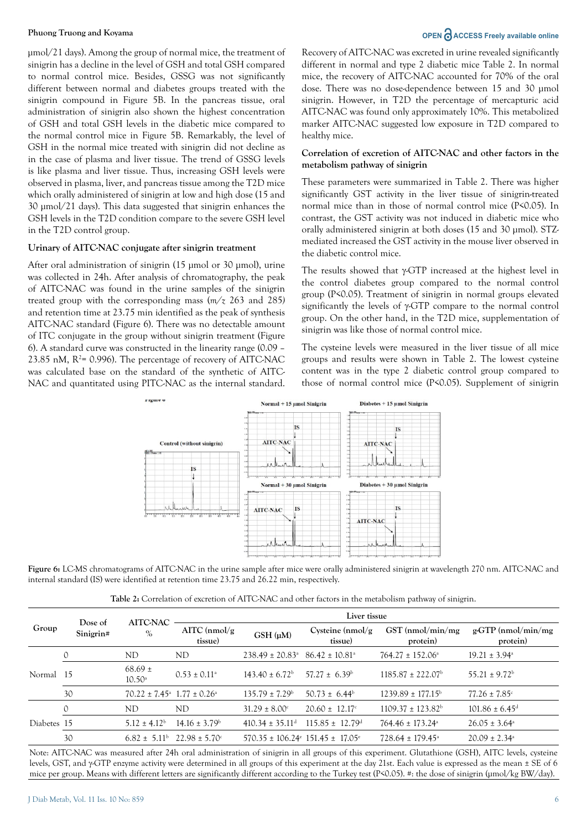µmol/21 days). Among the group of normal mice, the treatment of sinigrin has a decline in the level of GSH and total GSH compared to normal control mice. Besides, GSSG was not significantly different between normal and diabetes groups treated with the sinigrin compound in Figure 5B. In the pancreas tissue, oral administration of sinigrin also shown the highest concentration of GSH and total GSH levels in the diabetic mice compared to the normal control mice in Figure 5B. Remarkably, the level of GSH in the normal mice treated with sinigrin did not decline as in the case of plasma and liver tissue. The trend of GSSG levels is like plasma and liver tissue. Thus, increasing GSH levels were observed in plasma, liver, and pancreas tissue among the T2D mice which orally administered of sinigrin at low and high dose (15 and 30 µmol/21 days). This data suggested that sinigrin enhances the GSH levels in the T2D condition compare to the severe GSH level in the T2D control group.

### **Urinary of AITC-NAC conjugate after sinigrin treatment**

After oral administration of sinigrin (15 µmol or 30 µmol), urine was collected in 24h. After analysis of chromatography, the peak of AITC-NAC was found in the urine samples of the sinigrin treated group with the corresponding mass (*m/z* 263 and 285*)*  and retention time at 23.75 min identified as the peak of synthesis AITC-NAC standard (Figure 6). There was no detectable amount of ITC conjugate in the group without sinigrin treatment (Figure 6). A standard curve was constructed in the linearity range (0.09 – 23.85 nM,  $R^2$ = 0.996). The percentage of recovery of AITC-NAC was calculated base on the standard of the synthetic of AITC-NAC and quantitated using PITC-NAC as the internal standard.

# **Phuong Truong and Koyama OPEN ACCESS** Freely available online

Recovery of AITC-NAC was excreted in urine revealed significantly different in normal and type 2 diabetic mice Table 2. In normal mice, the recovery of AITC-NAC accounted for 70% of the oral dose. There was no dose-dependence between 15 and 30 µmol sinigrin. However, in T2D the percentage of mercapturic acid AITC-NAC was found only approximately 10%. This metabolized marker AITC-NAC suggested low exposure in T2D compared to healthy mice.

#### **Correlation of excretion of AITC-NAC and other factors in the metabolism pathway of sinigrin**

These parameters were summarized in Table 2. There was higher significantly GST activity in the liver tissue of sinigrin-treated normal mice than in those of normal control mice (P<0.05). In contrast, the GST activity was not induced in diabetic mice who orally administered sinigrin at both doses (15 and 30 µmol). STZmediated increased the GST activity in the mouse liver observed in the diabetic control mice.

The results showed that γ-GTP increased at the highest level in the control diabetes group compared to the normal control group (P<0.05). Treatment of sinigrin in normal groups elevated significantly the levels of γ-GTP compare to the normal control group. On the other hand, in the T2D mice, supplementation of sinigrin was like those of normal control mice.

The cysteine levels were measured in the liver tissue of all mice groups and results were shown in Table 2. The lowest cysteine content was in the type 2 diabetic control group compared to those of normal control mice (P<0.05). Supplement of sinigrin



**Figure 6:** LC-MS chromatograms of AITC-NAC in the urine sample after mice were orally administered sinigrin at wavelength 270 nm. AITC-NAC and internal standard (IS) were identified at retention time 23.75 and 26.22 min, respectively.

**Table 2:** Correlation of excretion of AITC-NAC and other factors in the metabolism pathway of sinigrin.

| Group       | Dose of<br>Sinigrin# | <b>AITC-NAC</b><br>$\%$                                    | Liver tissue                  |                                                                  |                                |                                  |                                    |  |
|-------------|----------------------|------------------------------------------------------------|-------------------------------|------------------------------------------------------------------|--------------------------------|----------------------------------|------------------------------------|--|
|             |                      |                                                            | $AITC$ (nmol/g)<br>tissue)    | $GSH$ ( $\mu$ M)                                                 | Cysteine $(nmol/g)$<br>tissue) | $GST$ (nmol/min/mg)<br>protein)  | $g$ -GTP (nmol/min/mg)<br>protein) |  |
| Normal      |                      | ND                                                         | ND                            | $238.49 \pm 20.83$ <sup>a</sup>                                  | $86.42 \pm 10.81$ <sup>a</sup> | $764.27 \pm 152.06^{\circ}$      | $19.21 \pm 3.94^{\circ}$           |  |
|             | -15                  | $68.69 \pm$<br>$10.50^{\circ}$                             | $0.53 \pm 0.11$ <sup>a</sup>  | $143.40 \pm 6.72^b$                                              | $57.27 \pm 6.39^{\rm b}$       | $1185.87 \pm 222.07^{\rm b}$     | $55.21 \pm 9.72^{\rm b}$           |  |
|             | 30                   | $70.22 \pm 7.45$ <sup>a</sup> $1.77 \pm 0.26$ <sup>a</sup> |                               | $135.79 \pm 7.29^{\circ}$                                        | $50.73 \pm 6.44^b$             | $1239.89 \pm 177.15^{\text{b}}$  | $77.26 \pm 7.85$ <sup>c</sup>      |  |
| Diabetes 15 |                      | ND                                                         | ND                            | $31.29 \pm 8.00^{\circ}$                                         | $20.60 \pm 12.17$ °            | $1109.37 \pm 123.82^{\rm b}$     | $101.86 \pm 6.45$ <sup>d</sup>     |  |
|             |                      | $5.12 \pm 4.12^b$                                          | $14.16 \pm 3.79^{\circ}$      | $410.34 \pm 35.11$ <sup>d</sup>                                  | $115.85 \pm 12.79^{\text{d}}$  | $764.46 \pm 173.24$ <sup>a</sup> | $26.05 \pm 3.64$ <sup>a</sup>      |  |
|             | 30                   | $6.82 \pm 5.11^{\rm b}$                                    | $22.98 \pm 5.70$ <sup>c</sup> | $570.35 \pm 106.24$ <sup>e</sup> $151.45 \pm 17.05$ <sup>e</sup> |                                | $728.64 \pm 179.45^{\circ}$      | $20.09 \pm 2.34$ <sup>a</sup>      |  |

Note: AITC-NAC was measured after 24h oral administration of sinigrin in all groups of this experiment. Glutathione (GSH), AITC levels, cysteine levels, GST, and γ-GTP enzyme activity were determined in all groups of this experiment at the day 21st. Each value is expressed as the mean ± SE of 6 mice per group. Means with different letters are significantly different according to the Turkey test (P<0.05). #: the dose of sinigrin (µmol/kg BW/day).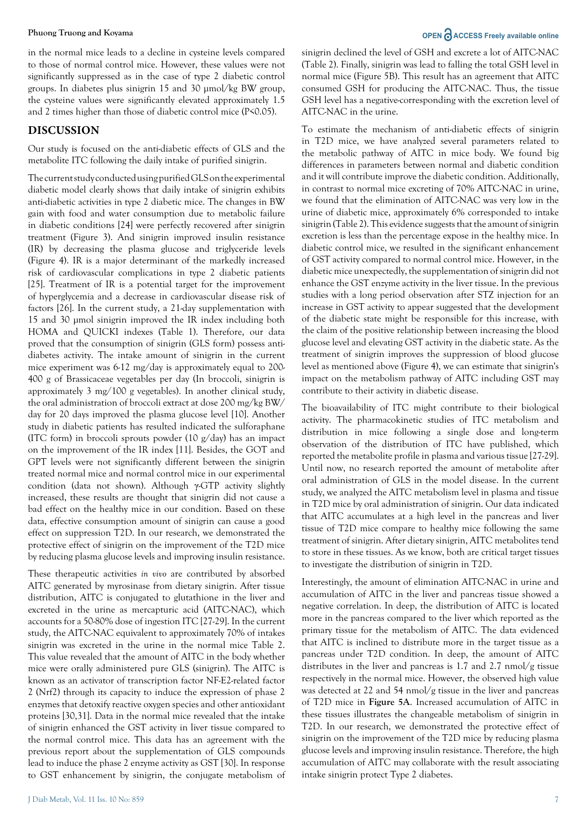in the normal mice leads to a decline in cysteine levels compared to those of normal control mice. However, these values were not significantly suppressed as in the case of type 2 diabetic control groups. In diabetes plus sinigrin 15 and 30 µmol/kg BW group, the cysteine values were significantly elevated approximately 1.5 and 2 times higher than those of diabetic control mice (P<0.05).

### **DISCUSSION**

Our study is focused on the anti-diabetic effects of GLS and the metabolite ITC following the daily intake of purified sinigrin.

The current study conducted using purified GLS on the experimental diabetic model clearly shows that daily intake of sinigrin exhibits anti-diabetic activities in type 2 diabetic mice. The changes in BW gain with food and water consumption due to metabolic failure in diabetic conditions [24] were perfectly recovered after sinigrin treatment (Figure 3). And sinigrin improved insulin resistance (IR) by decreasing the plasma glucose and triglyceride levels (Figure 4). IR is a major determinant of the markedly increased risk of cardiovascular complications in type 2 diabetic patients [25]. Treatment of IR is a potential target for the improvement of hyperglycemia and a decrease in cardiovascular disease risk of factors [26]. In the current study, a 21-day supplementation with 15 and 30 µmol sinigrin improved the IR index including both HOMA and QUICKI indexes (Table 1). Therefore, our data proved that the consumption of sinigrin (GLS form) possess antidiabetes activity. The intake amount of sinigrin in the current mice experiment was 6-12 mg/day is approximately equal to 200- 400 g of Brassicaceae vegetables per day (In broccoli, sinigrin is approximately 3 mg/100 g vegetables). In another clinical study, the oral administration of broccoli extract at dose 200 mg/kg BW/ day for 20 days improved the plasma glucose level [10]. Another study in diabetic patients has resulted indicated the sulforaphane (ITC form) in broccoli sprouts powder (10 g/day) has an impact on the improvement of the IR index [11]. Besides, the GOT and GPT levels were not significantly different between the sinigrin treated normal mice and normal control mice in our experimental condition (data not shown). Although γ-GTP activity slightly increased, these results are thought that sinigrin did not cause a bad effect on the healthy mice in our condition. Based on these data, effective consumption amount of sinigrin can cause a good effect on suppression T2D. In our research, we demonstrated the protective effect of sinigrin on the improvement of the T2D mice by reducing plasma glucose levels and improving insulin resistance.

These therapeutic activities *in vivo* are contributed by absorbed AITC generated by myrosinase from dietary sinigrin. After tissue distribution, AITC is conjugated to glutathione in the liver and excreted in the urine as mercapturic acid (AITC-NAC), which accounts for a 50-80% dose of ingestion ITC [27-29]. In the current study, the AITC-NAC equivalent to approximately 70% of intakes sinigrin was excreted in the urine in the normal mice Table 2. This value revealed that the amount of AITC in the body whether mice were orally administered pure GLS (sinigrin). The AITC is known as an activator of transcription factor NF-E2-related factor 2 (Nrf2) through its capacity to induce the expression of phase 2 enzymes that detoxify reactive oxygen species and other antioxidant proteins [30,31]. Data in the normal mice revealed that the intake of sinigrin enhanced the GST activity in liver tissue compared to the normal control mice. This data has an agreement with the previous report about the supplementation of GLS compounds lead to induce the phase 2 enzyme activity as GST [30]. In response to GST enhancement by sinigrin, the conjugate metabolism of

# **Phuong Truong and Koyama OPEN ACCESS** Freely available online

sinigrin declined the level of GSH and excrete a lot of AITC-NAC (Table 2). Finally, sinigrin was lead to falling the total GSH level in normal mice (Figure 5B). This result has an agreement that AITC consumed GSH for producing the AITC-NAC. Thus, the tissue GSH level has a negative-corresponding with the excretion level of AITC-NAC in the urine.

To estimate the mechanism of anti-diabetic effects of sinigrin in T2D mice, we have analyzed several parameters related to the metabolic pathway of AITC in mice body. We found big differences in parameters between normal and diabetic condition and it will contribute improve the diabetic condition. Additionally, in contrast to normal mice excreting of 70% AITC-NAC in urine, we found that the elimination of AITC-NAC was very low in the urine of diabetic mice, approximately 6% corresponded to intake sinigrin (Table 2). This evidence suggests that the amount of sinigrin excretion is less than the percentage expose in the healthy mice. In diabetic control mice, we resulted in the significant enhancement of GST activity compared to normal control mice. However, in the diabetic mice unexpectedly, the supplementation of sinigrin did not enhance the GST enzyme activity in the liver tissue. In the previous studies with a long period observation after STZ injection for an increase in GST activity to appear suggested that the development of the diabetic state might be responsible for this increase, with the claim of the positive relationship between increasing the blood glucose level and elevating GST activity in the diabetic state. As the treatment of sinigrin improves the suppression of blood glucose level as mentioned above (Figure 4), we can estimate that sinigrin's impact on the metabolism pathway of AITC including GST may contribute to their activity in diabetic disease.

The bioavailability of ITC might contribute to their biological activity. The pharmacokinetic studies of ITC metabolism and distribution in mice following a single dose and long-term observation of the distribution of ITC have published, which reported the metabolite profile in plasma and various tissue [27-29]. Until now, no research reported the amount of metabolite after oral administration of GLS in the model disease. In the current study, we analyzed the AITC metabolism level in plasma and tissue in T2D mice by oral administration of sinigrin. Our data indicated that AITC accumulates at a high level in the pancreas and liver tissue of T2D mice compare to healthy mice following the same treatment of sinigrin. After dietary sinigrin, AITC metabolites tend to store in these tissues. As we know, both are critical target tissues to investigate the distribution of sinigrin in T2D.

Interestingly, the amount of elimination AITC-NAC in urine and accumulation of AITC in the liver and pancreas tissue showed a negative correlation. In deep, the distribution of AITC is located more in the pancreas compared to the liver which reported as the primary tissue for the metabolism of AITC. The data evidenced that AITC is inclined to distribute more in the target tissue as a pancreas under T2D condition. In deep, the amount of AITC distributes in the liver and pancreas is 1.7 and 2.7 nmol/g tissue respectively in the normal mice. However, the observed high value was detected at 22 and 54 nmol/g tissue in the liver and pancreas of T2D mice in **Figure 5A**. Increased accumulation of AITC in these tissues illustrates the changeable metabolism of sinigrin in T2D. In our research, we demonstrated the protective effect of sinigrin on the improvement of the T2D mice by reducing plasma glucose levels and improving insulin resistance. Therefore, the high accumulation of AITC may collaborate with the result associating intake sinigrin protect Type 2 diabetes.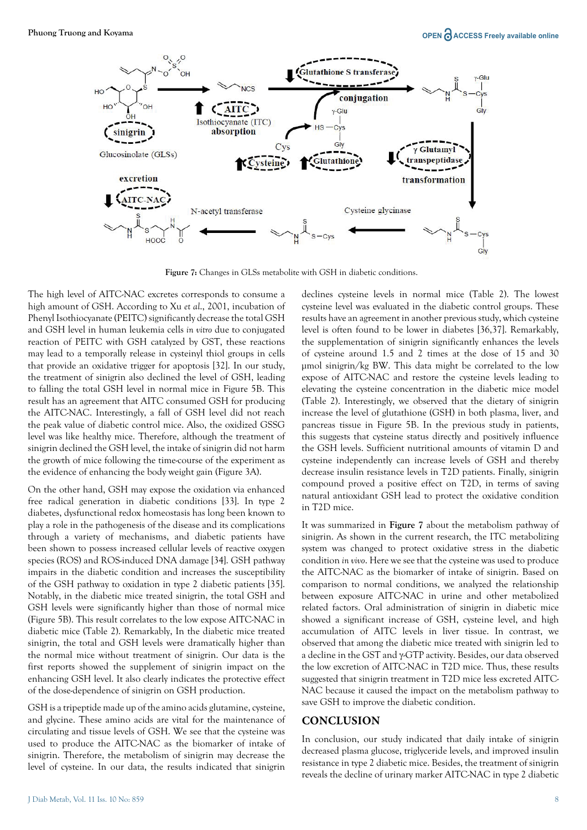

**Figure 7:** Changes in GLSs metabolite with GSH in diabetic conditions.

The high level of AITC-NAC excretes corresponds to consume a high amount of GSH. According to Xu *et al*., 2001, incubation of Phenyl Isothiocyanate (PEITC) significantly decrease the total GSH and GSH level in human leukemia cells *in vitro* due to conjugated reaction of PEITC with GSH catalyzed by GST, these reactions may lead to a temporally release in cysteinyl thiol groups in cells that provide an oxidative trigger for apoptosis [32]. In our study, the treatment of sinigrin also declined the level of GSH, leading to falling the total GSH level in normal mice in Figure 5B. This result has an agreement that AITC consumed GSH for producing the AITC-NAC. Interestingly, a fall of GSH level did not reach the peak value of diabetic control mice. Also, the oxidized GSSG level was like healthy mice. Therefore, although the treatment of sinigrin declined the GSH level, the intake of sinigrin did not harm the growth of mice following the time-course of the experiment as the evidence of enhancing the body weight gain (Figure 3A).

On the other hand, GSH may expose the oxidation via enhanced free radical generation in diabetic conditions [33]. In type 2 diabetes, dysfunctional redox homeostasis has long been known to play a role in the pathogenesis of the disease and its complications through a variety of mechanisms, and diabetic patients have been shown to possess increased cellular levels of reactive oxygen species (ROS) and ROS-induced DNA damage [34]. GSH pathway impairs in the diabetic condition and increases the susceptibility of the GSH pathway to oxidation in type 2 diabetic patients [35]. Notably, in the diabetic mice treated sinigrin, the total GSH and GSH levels were significantly higher than those of normal mice (Figure 5B). This result correlates to the low expose AITC-NAC in diabetic mice (Table 2). Remarkably, In the diabetic mice treated sinigrin, the total and GSH levels were dramatically higher than the normal mice without treatment of sinigrin. Our data is the first reports showed the supplement of sinigrin impact on the enhancing GSH level. It also clearly indicates the protective effect of the dose-dependence of sinigrin on GSH production.

GSH is a tripeptide made up of the amino acids glutamine, cysteine, and glycine. These amino acids are vital for the maintenance of circulating and tissue levels of GSH. We see that the cysteine was used to produce the AITC-NAC as the biomarker of intake of sinigrin. Therefore, the metabolism of sinigrin may decrease the level of cysteine. In our data, the results indicated that sinigrin declines cysteine levels in normal mice (Table 2). The lowest cysteine level was evaluated in the diabetic control groups. These results have an agreement in another previous study, which cysteine level is often found to be lower in diabetes [36,37]. Remarkably, the supplementation of sinigrin significantly enhances the levels of cysteine around 1.5 and 2 times at the dose of 15 and 30 µmol sinigrin/kg BW. This data might be correlated to the low expose of AITC-NAC and restore the cysteine levels leading to elevating the cysteine concentration in the diabetic mice model (Table 2). Interestingly, we observed that the dietary of sinigrin increase the level of glutathione (GSH) in both plasma, liver, and pancreas tissue in Figure 5B. In the previous study in patients, this suggests that cysteine status directly and positively influence the GSH levels. Sufficient nutritional amounts of vitamin D and cysteine independently can increase levels of GSH and thereby decrease insulin resistance levels in T2D patients. Finally, sinigrin compound proved a positive effect on T2D, in terms of saving natural antioxidant GSH lead to protect the oxidative condition in T2D mice.

It was summarized in **Figure 7** about the metabolism pathway of sinigrin. As shown in the current research, the ITC metabolizing system was changed to protect oxidative stress in the diabetic condition *in vivo*. Here we see that the cysteine was used to produce the AITC-NAC as the biomarker of intake of sinigrin. Based on comparison to normal conditions, we analyzed the relationship between exposure AITC-NAC in urine and other metabolized related factors. Oral administration of sinigrin in diabetic mice showed a significant increase of GSH, cysteine level, and high accumulation of AITC levels in liver tissue. In contrast, we observed that among the diabetic mice treated with sinigrin led to a decline in the GST and γ-GTP activity. Besides, our data observed the low excretion of AITC-NAC in T2D mice. Thus, these results suggested that sinigrin treatment in T2D mice less excreted AITC-NAC because it caused the impact on the metabolism pathway to save GSH to improve the diabetic condition.

### **CONCLUSION**

In conclusion, our study indicated that daily intake of sinigrin decreased plasma glucose, triglyceride levels, and improved insulin resistance in type 2 diabetic mice. Besides, the treatment of sinigrin reveals the decline of urinary marker AITC-NAC in type 2 diabetic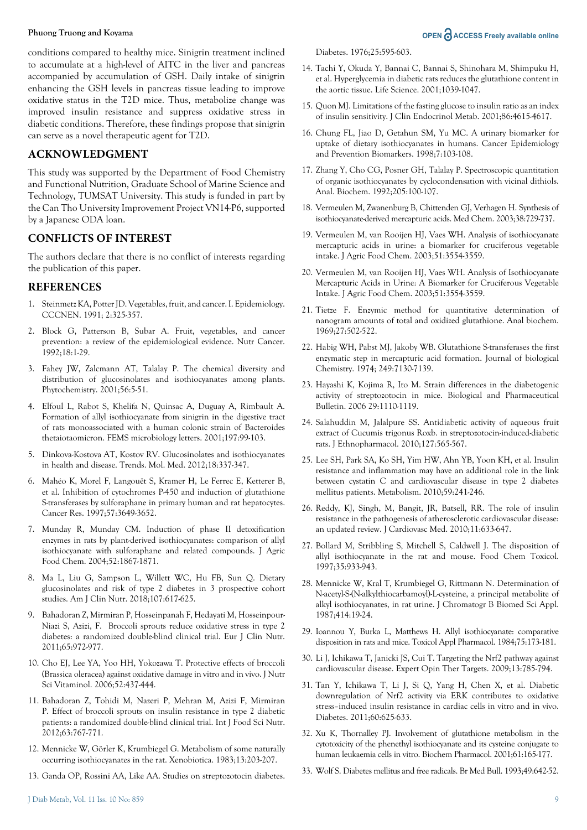conditions compared to healthy mice. Sinigrin treatment inclined to accumulate at a high-level of AITC in the liver and pancreas accompanied by accumulation of GSH. Daily intake of sinigrin enhancing the GSH levels in pancreas tissue leading to improve oxidative status in the T2D mice. Thus, metabolize change was improved insulin resistance and suppress oxidative stress in diabetic conditions. Therefore, these findings propose that sinigrin can serve as a novel therapeutic agent for T2D.

### **ACKNOWLEDGMENT**

This study was supported by the Department of Food Chemistry and Functional Nutrition, Graduate School of Marine Science and Technology, TUMSAT University. This study is funded in part by the Can Tho University Improvement Project VN14-P6, supported by a Japanese ODA loan.

# **CONFLICTS OF INTEREST**

The authors declare that there is no conflict of interests regarding the publication of this paper.

#### **REFERENCES**

- 1. Steinmetz KA, Potter JD. Vegetables, fruit, and cancer. I. Epidemiology. CCCNEN. 1991; 2:325-357.
- 2. Block G, Patterson B, Subar A. Fruit, vegetables, and cancer prevention: a review of the epidemiological evidence. Nutr Cancer. 1992;18:1-29.
- 3. Fahey JW, Zalcmann AT, Talalay P. The chemical diversity and distribution of glucosinolates and isothiocyanates among plants. Phytochemistry. 2001;56:5-51.
- 4. Elfoul L, Rabot S, Khelifa N, Quinsac A, Duguay A, Rimbault A. Formation of allyl isothiocyanate from sinigrin in the digestive tract of rats monoassociated with a human colonic strain of Bacteroides thetaiotaomicron. FEMS microbiology letters. 2001;197:99-103.
- 5. Dinkova-Kostova AT, Kostov RV. Glucosinolates and isothiocyanates in health and disease. Trends. Mol. Med. 2012;18:337-347.
- 6. Mahéo K, Morel F, Langouët S, Kramer H, Le Ferrec E, Ketterer B, et al. Inhibition of cytochromes P-450 and induction of glutathione S-transferases by sulforaphane in primary human and rat hepatocytes. Cancer Res. 1997;57:3649-3652.
- 7. Munday R, Munday CM. Induction of phase II detoxification enzymes in rats by plant-derived isothiocyanates: comparison of allyl isothiocyanate with sulforaphane and related compounds. J Agric Food Chem. 2004;52:1867-1871.
- 8. Ma L, Liu G, Sampson L, Willett WC, Hu FB, Sun Q. Dietary glucosinolates and risk of type 2 diabetes in 3 prospective cohort studies. Am J Clin Nutr. 2018;107:617-625.
- 9. Bahadoran Z, Mirmiran P, Hosseinpanah F, Hedayati M, Hosseinpour-Niazi S, Azizi, F. Broccoli sprouts reduce oxidative stress in type 2 diabetes: a randomized double-blind clinical trial. Eur J Clin Nutr. 2011;65:972-977.
- 10. Cho EJ, Lee YA, Yoo HH, Yokozawa T. Protective effects of broccoli (Brassica oleracea) against oxidative damage in vitro and in vivo. J Nutr Sci Vitaminol. 2006;52:437-444.
- 11. Bahadoran Z, Tohidi M, Nazeri P, Mehran M, Azizi F, Mirmiran P. Effect of broccoli sprouts on insulin resistance in type 2 diabetic patients: a randomized double-blind clinical trial. Int J Food Sci Nutr. 2012;63:767-771.
- 12. Mennicke W, Görler K, Krumbiegel G. Metabolism of some naturally occurring isothiocyanates in the rat. Xenobiotica. 1983;13:203-207.
- 13. Ganda OP, Rossini AA, Like AA. Studies on streptozotocin diabetes.

Diabetes. 1976;25:595-603.

- 14. Tachi Y, Okuda Y, Bannai C, Bannai S, Shinohara M, Shimpuku H, et al. Hyperglycemia in diabetic rats reduces the glutathione content in the aortic tissue. Life Science. 2001;1039-1047.
- 15. Quon MJ. Limitations of the fasting glucose to insulin ratio as an index of insulin sensitivity. J Clin Endocrinol Metab. 2001;86:4615-4617.
- 16. Chung FL, Jiao D, Getahun SM, Yu MC. A urinary biomarker for uptake of dietary isothiocyanates in humans. Cancer Epidemiology and Prevention Biomarkers. 1998;7:103-108.
- 17. Zhang Y, Cho CG, Posner GH, Talalay P. Spectroscopic quantitation of organic isothiocyanates by cyclocondensation with vicinal dithiols. Anal. Biochem. 1992;205:100-107.
- 18. Vermeulen M, Zwanenburg B, Chittenden GJ, Verhagen H. Synthesis of isothiocyanate-derived mercapturic acids. Med Chem. 2003;38:729-737.
- 19. Vermeulen M, van Rooijen HJ, Vaes WH. Analysis of isothiocyanate mercapturic acids in urine: a biomarker for cruciferous vegetable intake. J Agric Food Chem. 2003;51:3554-3559.
- 20. Vermeulen M, van Rooijen HJ, Vaes WH. Analysis of Isothiocyanate Mercapturic Acids in Urine: A Biomarker for Cruciferous Vegetable Intake. J Agric Food Chem. 2003;51:3554-3559.
- 21. Tietze F. Enzymic method for quantitative determination of nanogram amounts of total and oxidized glutathione. Anal biochem. 1969;27:502-522.
- 22. Habig WH, Pabst MJ, Jakoby WB. Glutathione S-transferases the first enzymatic step in mercapturic acid formation. Journal of biological Chemistry. 1974; 249:7130-7139.
- 23. Hayashi K, Kojima R, Ito M. Strain differences in the diabetogenic activity of streptozotocin in mice. Biological and Pharmaceutical Bulletin. 2006 29:1110-1119.
- 24. Salahuddin M, Jalalpure SS. Antidiabetic activity of aqueous fruit extract of Cucumis trigonus Roxb. in streptozotocin-induced-diabetic rats. J Ethnopharmacol. 2010;127:565-567.
- 25. Lee SH, Park SA, Ko SH, Yim HW, Ahn YB, Yoon KH, et al. Insulin resistance and inflammation may have an additional role in the link between cystatin C and cardiovascular disease in type 2 diabetes mellitus patients. Metabolism. 2010;59:241-246.
- 26. Reddy, KJ, Singh, M, Bangit, JR, Batsell, RR. The role of insulin resistance in the pathogenesis of atherosclerotic cardiovascular disease: an updated review. J Cardiovasc Med. 2010;11:633-647.
- 27. Bollard M, Stribbling S, Mitchell S, Caldwell J. The disposition of allyl isothiocyanate in the rat and mouse. Food Chem Toxicol. 1997;35:933-943.
- 28. Mennicke W, Kral T, Krumbiegel G, Rittmann N. Determination of N-acetyl-S-(N-alkylthiocarbamoyl)-L-cysteine, a principal metabolite of alkyl isothiocyanates, in rat urine. J Chromatogr B Biomed Sci Appl. 1987;414:19-24.
- 29. Ioannou Y, Burka L, Matthews H. Allyl isothiocyanate: comparative disposition in rats and mice. Toxicol Appl Pharmacol. 1984;75:173-181.
- 30. Li J, Ichikawa T, Janicki JS, Cui T. Targeting the Nrf2 pathway against cardiovascular disease. Expert Opin Ther Targets. 2009;13:785-794.
- 31. Tan Y, Ichikawa T, Li J, Si Q, Yang H, Chen X, et al. Diabetic downregulation of Nrf2 activity via ERK contributes to oxidative stress–induced insulin resistance in cardiac cells in vitro and in vivo. Diabetes. 2011;60:625-633.
- 32. Xu K, Thornalley PJ. Involvement of glutathione metabolism in the cytotoxicity of the phenethyl isothiocyanate and its cysteine conjugate to human leukaemia cells in vitro. Biochem Pharmacol. 2001;61:165-177.
- 33. Wolf S. Diabetes mellitus and free radicals. Br Med Bull. 1993;49:642-52.